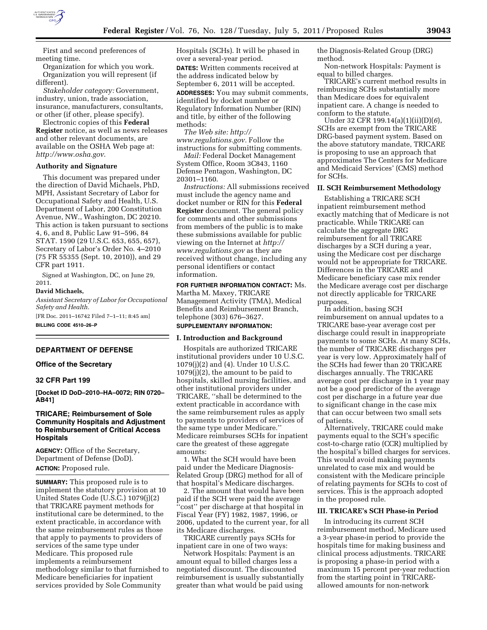

First and second preferences of meeting time.

Organization for which you work. Organization you will represent (if different).

*Stakeholder category:* Government, industry, union, trade association, insurance, manufacturers, consultants, or other (if other, please specify).

Electronic copies of this **Federal Register** notice, as well as news releases and other relevant documents, are available on the OSHA Web page at: *<http://www.osha.gov>*.

## **Authority and Signature**

This document was prepared under the direction of David Michaels, PhD, MPH, Assistant Secretary of Labor for Occupational Safety and Health, U.S. Department of Labor, 200 Constitution Avenue, NW., Washington, DC 20210. This action is taken pursuant to sections 4, 6, and 8, Public Law 91–596, 84 STAT. 1590 (29 U.S.C. 653, 655, 657), Secretary of Labor's Order No. 4–2010 (75 FR 55355 (Sept. 10, 2010)), and 29 CFR part 1911.

Signed at Washington, DC, on June 29, 2011.

#### **David Michaels,**

*Assistant Secretary of Labor for Occupational Safety and Health.*  [FR Doc. 2011–16742 Filed 7–1–11; 8:45 am]

**BILLING CODE 4510–26–P** 

#### **DEPARTMENT OF DEFENSE**

#### **Office of the Secretary**

## **32 CFR Part 199**

**[Docket ID DoD–2010–HA–0072; RIN 0720– AB41]** 

# **TRICARE; Reimbursement of Sole Community Hospitals and Adjustment to Reimbursement of Critical Access Hospitals**

**AGENCY:** Office of the Secretary, Department of Defense (DoD). **ACTION:** Proposed rule.

**SUMMARY:** This proposed rule is to implement the statutory provision at 10 United States Code (U.S.C.) 1079(j)(2) that TRICARE payment methods for institutional care be determined, to the extent practicable, in accordance with the same reimbursement rules as those that apply to payments to providers of services of the same type under Medicare. This proposed rule implements a reimbursement methodology similar to that furnished to Medicare beneficiaries for inpatient services provided by Sole Community

Hospitals (SCHs). It will be phased in over a several-year period. **DATES:** Written comments received at the address indicated below by September 6, 2011 will be accepted. **ADDRESSES:** You may submit comments, identified by docket number or Regulatory Information Number (RIN) and title, by either of the following methods:

*The Web site: [http://](http://www.regulations.gov)  [www.regulations.gov.](http://www.regulations.gov)* Follow the instructions for submitting comments.

*Mail:* Federal Docket Management System Office, Room 3C843, 1160 Defense Pentagon, Washington, DC 20301–1160.

*Instructions:* All submissions received must include the agency name and docket number or RIN for this **Federal Register** document. The general policy for comments and other submissions from members of the public is to make these submissions available for public viewing on the Internet at *[http://](http://www.regulations.gov) [www.regulations.gov](http://www.regulations.gov)* as they are received without change, including any personal identifiers or contact information.

**FOR FURTHER INFORMATION CONTACT:** Ms. Martha M. Maxey, TRICARE Management Activity (TMA), Medical Benefits and Reimbursement Branch, telephone (303) 676–3627.

### **SUPPLEMENTARY INFORMATION:**

#### **I. Introduction and Background**

Hospitals are authorized TRICARE institutional providers under 10 U.S.C. 1079(j)(2) and (4). Under 10 U.S.C. 1079(j)(2), the amount to be paid to hospitals, skilled nursing facilities, and other institutional providers under TRICARE, ''shall be determined to the extent practicable in accordance with the same reimbursement rules as apply to payments to providers of services of the same type under Medicare.'' Medicare reimburses SCHs for inpatient care the greatest of these aggregate amounts:

1. What the SCH would have been paid under the Medicare Diagnosis-Related Group (DRG) method for all of that hospital's Medicare discharges.

2. The amount that would have been paid if the SCH were paid the average ''cost'' per discharge at that hospital in Fiscal Year (FY) 1982, 1987, 1996, or 2006, updated to the current year, for all its Medicare discharges.

TRICARE currently pays SCHs for inpatient care in one of two ways:

Network Hospitals: Payment is an amount equal to billed charges less a negotiated discount. The discounted reimbursement is usually substantially greater than what would be paid using

the Diagnosis-Related Group (DRG) method.

Non-network Hospitals: Payment is equal to billed charges.

TRICARE's current method results in reimbursing SCHs substantially more than Medicare does for equivalent inpatient care. A change is needed to conform to the statute.

Under 32 CFR 199.14(a)(1)(ii)(D)(*6*), SCHs are exempt from the TRICARE DRG-based payment system. Based on the above statutory mandate, TRICARE is proposing to use an approach that approximates The Centers for Medicare and Medicaid Services' (CMS) method for SCHs.

## **II. SCH Reimbursement Methodology**

Establishing a TRICARE SCH inpatient reimbursement method exactly matching that of Medicare is not practicable. While TRICARE can calculate the aggregate DRG reimbursement for all TRICARE discharges by a SCH during a year, using the Medicare cost per discharge would not be appropriate for TRICARE. Differences in the TRICARE and Medicare beneficiary case mix render the Medicare average cost per discharge not directly applicable for TRICARE purposes.

In addition, basing SCH reimbursement on annual updates to a TRICARE base-year average cost per discharge could result in inappropriate payments to some SCHs. At many SCHs, the number of TRICARE discharges per year is very low. Approximately half of the SCHs had fewer than 20 TRICARE discharges annually. The TRICARE average cost per discharge in 1 year may not be a good predictor of the average cost per discharge in a future year due to significant change in the case mix that can occur between two small sets of patients.

Alternatively, TRICARE could make payments equal to the SCH's specific cost-to-charge ratio (CCR) multiplied by the hospital's billed charges for services. This would avoid making payments unrelated to case mix and would be consistent with the Medicare principle of relating payments for SCHs to cost of services. This is the approach adopted in the proposed rule.

### **III. TRICARE's SCH Phase-in Period**

In introducing its current SCH reimbursement method, Medicare used a 3-year phase-in period to provide the hospitals time for making business and clinical process adjustments. TRICARE is proposing a phase-in period with a maximum 15 percent per-year reduction from the starting point in TRICAREallowed amounts for non-network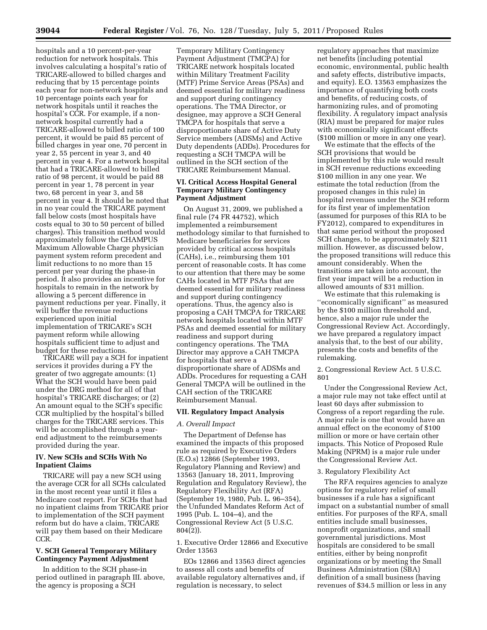hospitals and a 10 percent-per-year reduction for network hospitals. This involves calculating a hospital's ratio of TRICARE-allowed to billed charges and reducing that by 15 percentage points each year for non-network hospitals and 10 percentage points each year for network hospitals until it reaches the hospital's CCR. For example, if a nonnetwork hospital currently had a TRICARE-allowed to billed ratio of 100 percent, it would be paid 85 percent of billed charges in year one, 70 percent in year 2, 55 percent in year 3, and 40 percent in year 4. For a network hospital that had a TRICARE-allowed to billed ratio of 98 percent, it would be paid 88 percent in year 1, 78 percent in year two, 68 percent in year 3, and 58 percent in year 4. It should be noted that in no year could the TRICARE payment fall below costs (most hospitals have costs equal to 30 to 50 percent of billed charges). This transition method would approximately follow the CHAMPUS Maximum Allowable Charge physician payment system reform precedent and limit reductions to no more than 15 percent per year during the phase-in period. It also provides an incentive for hospitals to remain in the network by allowing a 5 percent difference in payment reductions per year. Finally, it will buffer the revenue reductions experienced upon initial implementation of TRICARE's SCH payment reform while allowing hospitals sufficient time to adjust and budget for these reductions.

TRICARE will pay a SCH for inpatient services it provides during a FY the greater of two aggregate amounts: (1) What the SCH would have been paid under the DRG method for all of that hospital's TRICARE discharges; or (2) An amount equal to the SCH's specific CCR multiplied by the hospital's billed charges for the TRICARE services. This will be accomplished through a yearend adjustment to the reimbursements provided during the year.

# **IV. New SCHs and SCHs With No Inpatient Claims**

TRICARE will pay a new SCH using the average CCR for all SCHs calculated in the most recent year until it files a Medicare cost report. For SCHs that had no inpatient claims from TRICARE prior to implementation of the SCH payment reform but do have a claim, TRICARE will pay them based on their Medicare CCR.

## **V. SCH General Temporary Military Contingency Payment Adjustment**

In addition to the SCH phase-in period outlined in paragraph III. above, the agency is proposing a SCH

Temporary Military Contingency Payment Adjustment (TMCPA) for TRICARE network hospitals located within Military Treatment Facility (MTF) Prime Service Areas (PSAs) and deemed essential for military readiness and support during contingency operations. The TMA Director, or designee, may approve a SCH General TMCPA for hospitals that serve a disproportionate share of Active Duty Service members (ADSMs) and Active Duty dependents (ADDs). Procedures for requesting a SCH TMCPA will be outlined in the SCH section of the TRICARE Reimbursement Manual.

# **VI. Critical Access Hospital General Temporary Military Contingency Payment Adjustment**

On August 31, 2009, we published a final rule (74 FR 44752), which implemented a reimbursement methodology similar to that furnished to Medicare beneficiaries for services provided by critical access hospitals (CAHs), i.e., reimbursing them 101 percent of reasonable costs. It has come to our attention that there may be some CAHs located in MTF PSAs that are deemed essential for military readiness and support during contingency operations. Thus, the agency also is proposing a CAH TMCPA for TRICARE network hospitals located within MTF PSAs and deemed essential for military readiness and support during contingency operations. The TMA Director may approve a CAH TMCPA for hospitals that serve a disproportionate share of ADSMs and ADDs. Procedures for requesting a CAH General TMCPA will be outlined in the CAH section of the TRICARE Reimbursement Manual.

## **VII. Regulatory Impact Analysis**

## *A. Overall Impact*

The Department of Defense has examined the impacts of this proposed rule as required by Executive Orders (E.O.s) 12866 (September 1993, Regulatory Planning and Review) and 13563 (January 18, 2011, Improving Regulation and Regulatory Review), the Regulatory Flexibility Act (RFA) (September 19, 1980, Pub. L. 96–354), the Unfunded Mandates Reform Act of 1995 (Pub. L. 104–4), and the Congressional Review Act (5 U.S.C. 804(2)).

1. Executive Order 12866 and Executive Order 13563

EOs 12866 and 13563 direct agencies to assess all costs and benefits of available regulatory alternatives and, if regulation is necessary, to select

regulatory approaches that maximize net benefits (including potential economic, environmental, public health and safety effects, distributive impacts, and equity). E.O. 13563 emphasizes the importance of quantifying both costs and benefits, of reducing costs, of harmonizing rules, and of promoting flexibility. A regulatory impact analysis (RIA) must be prepared for major rules with economically significant effects (\$100 million or more in any one year).

We estimate that the effects of the SCH provisions that would be implemented by this rule would result in SCH revenue reductions exceeding \$100 million in any one year. We estimate the total reduction (from the proposed changes in this rule) in hospital revenues under the SCH reform for its first year of implementation (assumed for purposes of this RIA to be FY2012), compared to expenditures in that same period without the proposed SCH changes, to be approximately \$211 million. However, as discussed below, the proposed transitions will reduce this amount considerably. When the transitions are taken into account, the first year impact will be a reduction in allowed amounts of \$31 million.

We estimate that this rulemaking is ''economically significant'' as measured by the \$100 million threshold and, hence, also a major rule under the Congressional Review Act. Accordingly, we have prepared a regulatory impact analysis that, to the best of our ability, presents the costs and benefits of the rulemaking.

2. Congressional Review Act. 5 U.S.C. 801

Under the Congressional Review Act, a major rule may not take effect until at least 60 days after submission to Congress of a report regarding the rule. A major rule is one that would have an annual effect on the economy of \$100 million or more or have certain other impacts. This Notice of Proposed Rule Making (NPRM) is a major rule under the Congressional Review Act.

### 3. Regulatory Flexibility Act

The RFA requires agencies to analyze options for regulatory relief of small businesses if a rule has a significant impact on a substantial number of small entities. For purposes of the RFA, small entities include small businesses, nonprofit organizations, and small governmental jurisdictions. Most hospitals are considered to be small entities, either by being nonprofit organizations or by meeting the Small Business Administration (SBA) definition of a small business (having revenues of \$34.5 million or less in any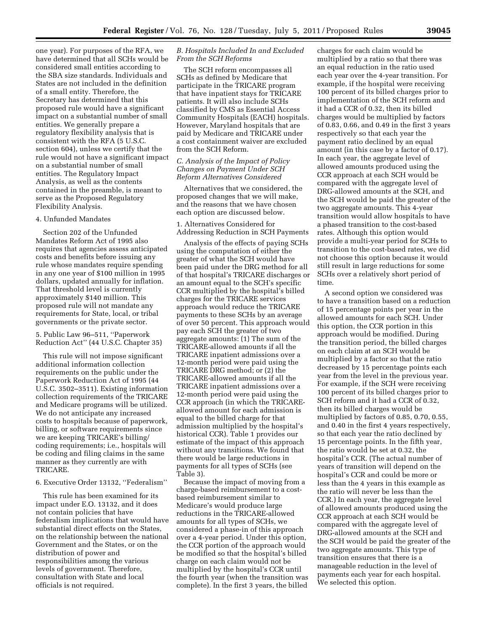one year). For purposes of the RFA, we have determined that all SCHs would be considered small entities according to the SBA size standards. Individuals and States are not included in the definition of a small entity. Therefore, the Secretary has determined that this proposed rule would have a significant impact on a substantial number of small entities. We generally prepare a regulatory flexibility analysis that is consistent with the RFA (5 U.S.C. section 604), unless we certify that the rule would not have a significant impact on a substantial number of small entities. The Regulatory Impact Analysis, as well as the contents contained in the preamble, is meant to serve as the Proposed Regulatory Flexibility Analysis.

## 4. Unfunded Mandates

Section 202 of the Unfunded Mandates Reform Act of 1995 also requires that agencies assess anticipated costs and benefits before issuing any rule whose mandates require spending in any one year of \$100 million in 1995 dollars, updated annually for inflation. That threshold level is currently approximately \$140 million. This proposed rule will not mandate any requirements for State, local, or tribal governments or the private sector.

5. Public Law 96–511, ''Paperwork Reduction Act'' (44 U.S.C. Chapter 35)

This rule will not impose significant additional information collection requirements on the public under the Paperwork Reduction Act of 1995 (44 U.S.C. 3502–3511). Existing information collection requirements of the TRICARE and Medicare programs will be utilized. We do not anticipate any increased costs to hospitals because of paperwork, billing, or software requirements since we are keeping TRICARE's billing/ coding requirements; i.e., hospitals will be coding and filing claims in the same manner as they currently are with TRICARE.

6. Executive Order 13132, ''Federalism''

This rule has been examined for its impact under E.O. 13132, and it does not contain policies that have federalism implications that would have substantial direct effects on the States, on the relationship between the national Government and the States, or on the distribution of power and responsibilities among the various levels of government. Therefore, consultation with State and local officials is not required.

## *B. Hospitals Included In and Excluded From the SCH Reforms*

The SCH reform encompasses all SCHs as defined by Medicare that participate in the TRICARE program that have inpatient stays for TRICARE patients. It will also include SCHs classified by CMS as Essential Access Community Hospitals (EACH) hospitals. However, Maryland hospitals that are paid by Medicare and TRICARE under a cost containment waiver are excluded from the SCH Reform.

## *C. Analysis of the Impact of Policy Changes on Payment Under SCH Reform Alternatives Considered*

Alternatives that we considered, the proposed changes that we will make, and the reasons that we have chosen each option are discussed below.

1. Alternatives Considered for Addressing Reduction in SCH Payments

Analysis of the effects of paying SCHs using the computation of either the greater of what the SCH would have been paid under the DRG method for all of that hospital's TRICARE discharges or an amount equal to the SCH's specific CCR multiplied by the hospital's billed charges for the TRICARE services approach would reduce the TRICARE payments to these SCHs by an average of over 50 percent. This approach would pay each SCH the greater of two aggregate amounts: (1) The sum of the TRICARE-allowed amounts if all the TRICARE inpatient admissions over a 12-month period were paid using the TRICARE DRG method; or (2) the TRICARE-allowed amounts if all the TRICARE inpatient admissions over a 12-month period were paid using the CCR approach (in which the TRICAREallowed amount for each admission is equal to the billed charge for that admission multiplied by the hospital's historical CCR). Table 1 provides our estimate of the impact of this approach without any transitions. We found that there would be large reductions in payments for all types of SCHs (see Table 3).

Because the impact of moving from a charge-based reimbursement to a costbased reimbursement similar to Medicare's would produce large reductions in the TRICARE-allowed amounts for all types of SCHs, we considered a phase-in of this approach over a 4-year period. Under this option, the CCR portion of the approach would be modified so that the hospital's billed charge on each claim would not be multiplied by the hospital's CCR until the fourth year (when the transition was complete). In the first 3 years, the billed

charges for each claim would be multiplied by a ratio so that there was an equal reduction in the ratio used each year over the 4-year transition. For example, if the hospital were receiving 100 percent of its billed charges prior to implementation of the SCH reform and it had a CCR of 0.32, then its billed charges would be multiplied by factors of 0.83, 0.66, and 0.49 in the first 3 years respectively so that each year the payment ratio declined by an equal amount (in this case by a factor of 0.17). In each year, the aggregate level of allowed amounts produced using the CCR approach at each SCH would be compared with the aggregate level of DRG-allowed amounts at the SCH, and the SCH would be paid the greater of the two aggregate amounts. This 4-year transition would allow hospitals to have a phased transition to the cost-based rates. Although this option would provide a multi-year period for SCHs to transition to the cost-based rates, we did not choose this option because it would still result in large reductions for some SCHs over a relatively short period of time.

A second option we considered was to have a transition based on a reduction of 15 percentage points per year in the allowed amounts for each SCH. Under this option, the CCR portion in this approach would be modified. During the transition period, the billed charges on each claim at an SCH would be multiplied by a factor so that the ratio decreased by 15 percentage points each year from the level in the previous year. For example, if the SCH were receiving 100 percent of its billed charges prior to SCH reform and it had a CCR of 0.32, then its billed charges would be multiplied by factors of 0.85, 0.70, 0.55, and 0.40 in the first 4 years respectively, so that each year the ratio declined by 15 percentage points. In the fifth year, the ratio would be set at 0.32, the hospital's CCR. (The actual number of years of transition will depend on the hospital's CCR and could be more or less than the 4 years in this example as the ratio will never be less than the CCR.) In each year, the aggregate level of allowed amounts produced using the CCR approach at each SCH would be compared with the aggregate level of DRG-allowed amounts at the SCH and the SCH would be paid the greater of the two aggregate amounts. This type of transition ensures that there is a manageable reduction in the level of payments each year for each hospital. We selected this option.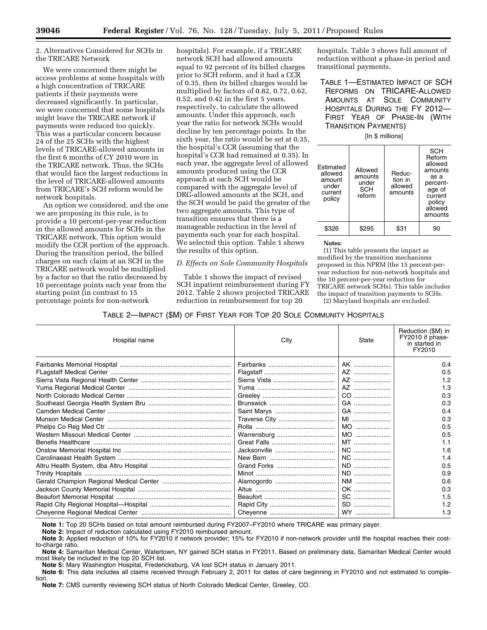## 2. Alternatives Considered for SCHs in the TRICARE Network

We were concerned there might be access problems at some hospitals with a high concentration of TRICARE patients if their payments were decreased significantly. In particular, we were concerned that some hospitals might leave the TRICARE network if payments were reduced too quickly. This was a particular concern because 24 of the 25 SCHs with the highest levels of TRICARE-allowed amounts in the first 6 months of CY 2010 were in the TRICARE network. Thus, the SCHs that would face the largest reductions in the level of TRICARE-allowed amounts from TRICARE's SCH reform would be network hospitals.

An option we considered, and the one we are proposing in this rule, is to provide a 10 percent-per-year reduction in the allowed amounts for SCHs in the TRICARE network. This option would modify the CCR portion of the approach. During the transition period, the billed charges on each claim at an SCH in the TRICARE network would be multiplied by a factor so that the ratio decreased by 10 percentage points each year from the starting point (in contrast to 15 percentage points for non-network

hospitals). For example, if a TRICARE network SCH had allowed amounts equal to 92 percent of its billed charges prior to SCH reform, and it had a CCR of 0.35, then its billed charges would be multiplied by factors of 0.82, 0.72, 0.62, 0.52, and 0.42 in the first 5 years, respectively, to calculate the allowed amounts. Under this approach, each year the ratio for network SCHs would decline by ten percentage points. In the sixth year, the ratio would be set at 0.35, the hospital's CCR (assuming that the hospital's CCR had remained at 0.35). In each year, the aggregate level of allowed amounts produced using the CCR approach at each SCH would be compared with the aggregate level of DRG-allowed amounts at the SCH, and the SCH would be paid the greater of the two aggregate amounts. This type of transition ensures that there is a manageable reduction in the level of payments each year for each hospital. We selected this option. Table 1 shows the results of this option.

# *D. Effects on Sole Community Hospitals*

Table 1 shows the impact of revised SCH inpatient reimbursement during FY 2012. Table 2 shows projected TRICARE reduction in reimbursement for top 20

hospitals. Table 3 shows full amount of reduction without a phase-in period and transitional payments.

TABLE 1—ESTIMATED IMPACT OF SCH REFORMS ON TRICARE-ALLOWED AMOUNTS AT SOLE COMMUNITY HOSPITALS DURING THE FY 2012— FIRST YEAR OF PHASE-IN (WITH TRANSITION PAYMENTS)

[In \$ millions]

| Estimated<br>allowed<br>amount<br>under<br>current<br>policy | Allowed<br>amounts<br>under<br>SCH<br>reform | Reduc-<br>tion in<br>allowed<br>amounts | SCH<br>Reform<br>allowed<br>amounts<br>as a<br>percent-<br>age of<br>current<br>policy<br>allowed<br>amounts |
|--------------------------------------------------------------|----------------------------------------------|-----------------------------------------|--------------------------------------------------------------------------------------------------------------|
|                                                              | \$295                                        | \$31                                    | 90                                                                                                           |

## **Notes:**

(1) This table presents the impact as modified by the transition mechanisms proposed in this NPRM (the 15 percent-peryear reduction for non-network hospitals and the 10 percent-per-year reduction for TRICARE network SCHs). This table includes the impact of transition payments to SCHs. (2) Maryland hospitals are excluded.

# TABLE 2—IMPACT (\$M) OF FIRST YEAR FOR TOP 20 SOLE COMMUNITY HOSPITALS

| Hospital name | City        | State | Reduction (\$M) in<br>FY2010 if phase-<br>in started in<br>FY2010 |
|---------------|-------------|-------|-------------------------------------------------------------------|
|               |             | AK    | 0.4                                                               |
|               |             |       | 0.5                                                               |
|               |             | AZ    | 1.2                                                               |
|               |             | AZ    | 1.3                                                               |
|               |             | CO    | 0.3                                                               |
|               |             | GA    | 0.3                                                               |
|               |             | GA    | 0.4                                                               |
|               |             | MI    | 0.3                                                               |
|               |             | MO    | 0.5                                                               |
|               | Warrensburg | MO    | 0.5                                                               |
|               |             | MT    | 1.1                                                               |
|               |             | NC    | 1.6                                                               |
|               |             | $NC$  | 1.4                                                               |
|               | Grand Forks | ND    | 0.5                                                               |
|               |             | ND    | 0.9                                                               |
|               |             | NM    | 0.6                                                               |
|               |             | OK    | 0.3                                                               |
|               |             | SC    | 1.5                                                               |
|               |             | SD    | 1.2                                                               |
|               |             | WY    | 1.3                                                               |

**Note 1:** Top 20 SCHs based on total amount reimbursed during FY2007–FY2010 where TRICARE was primary payer.

**Note 2:** Impact of reduction calculated using FY2010 reimbursed amount.

**Note 3:** Applied reduction of 10% for FY2010 if network provider; 15% for FY2010 if non-network provider until the hospital reaches their costto-charge ratio.

**Note 4:** Samaritan Medical Center, Watertown, NY gained SCH status in FY2011. Based on preliminary data, Samaritan Medical Center would most likely be included in the top 20 SCH list.

**Note 5:** Mary Washington Hospital, Fredericksburg, VA lost SCH status in January 2011.

**Note 6:** This data includes all claims received through February 2, 2011 for dates of care beginning in FY2010 and not estimated to completion.

**Note 7:** CMS currently reviewing SCH status of North Colorado Medical Center, Greeley, CO.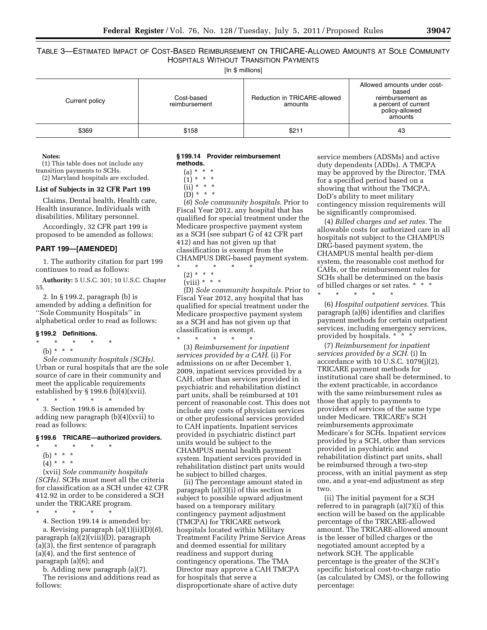TABLE 3—ESTIMATED IMPACT OF COST-BASED REIMBURSEMENT ON TRICARE-ALLOWED AMOUNTS AT SOLE COMMUNITY HOSPITALS WITHOUT TRANSITION PAYMENTS

[In \$ millions]

| Current policy | Cost-based<br>reimbursement | Reduction in TRICARE-allowed<br>amounts | Allowed amounts under cost-<br>based<br>reimbursement as<br>a percent of current<br>policy-allowed<br>amounts |
|----------------|-----------------------------|-----------------------------------------|---------------------------------------------------------------------------------------------------------------|
| \$369          | \$158                       | \$211                                   | 43                                                                                                            |

#### **Notes:**

(1) This table does not include any transition payments to SCHs.

(2) Maryland hospitals are excluded.

# **List of Subjects in 32 CFR Part 199**

Claims, Dental health, Health care, Health insurance, Individuals with disabilities, Military personnel.

Accordingly, 32 CFR part 199 is proposed to be amended as follows:

## **PART 199—[AMENDED]**

1. The authority citation for part 199 continues to read as follows:

**Authority:** 5 U.S.C. 301; 10 U.S.C. Chapter 55.

2. In § 199.2, paragraph (b) is amended by adding a definition for ''Sole Community Hospitals'' in alphabetical order to read as follows:

## **§ 199.2 Definitions.**

 $*$  \* (b) \* \* \*

*Sole community hospitals (SCHs).*  Urban or rural hospitals that are the sole source of care in their community and meet the applicable requirements established by § 199.6 (b)(4)(xvii).

\* \* \* \* \* 3. Section 199.6 is amended by adding new paragraph (b)(4)(xvii) to read as follows:

## **§ 199.6 TRICARE—authorized providers.**

- \* \* \* \* \*
	- (b) \* \* \*
	- $(4) * * * *$

(xvii) *Sole community hospitals (SCHs).* SCHs must meet all the criteria for classification as a SCH under 42 CFR 412.92 in order to be considered a SCH under the TRICARE program.

\* \* \* \* \* 4. Section 199.14 is amended by: a. Revising paragraph (a)(1)(ii)(D)(*6*), paragraph (a)(2)(viii)(D), paragraph (a)(3), the first sentence of paragraph (a)(4), and the first sentence of paragraph (a)(6); and

b. Adding new paragraph (a)(7). The revisions and additions read as follows:

#### **§ 199.14 Provider reimbursement methods.**

 $(a) * * * *$ 

 $(1) * * * *$ 

 $(ii) * * * *$ 

 $(D) * * * *$ 

(*6*) *Sole community hospitals.* Prior to Fiscal Year 2012, any hospital that has qualified for special treatment under the Medicare prospective payment system as a SCH (see subpart G of 42 CFR part 412) and has not given up that classification is exempt from the CHAMPUS DRG-based payment system.

\* \* \* \* \*

\* \* \* \* \*

(2) \* \* \*

(viii) \* \* \*

(D) *Sole community hospitals.* Prior to Fiscal Year 2012, any hospital that has qualified for special treatment under the Medicare prospective payment system as a SCH and has not given up that classification is exempt.

(3) *Reimbursement for inpatient services provided by a CAH.* (i) For admissions on or after December 1, 2009, inpatient services provided by a CAH, other than services provided in psychiatric and rehabilitation distinct part units, shall be reimbursed at 101 percent of reasonable cost. This does not include any costs of physician services or other professional services provided to CAH inpatients. Inpatient services provided in psychiatric distinct part units would be subject to the CHAMPUS mental health payment system. Inpatient services provided in rehabilitation distinct part units would be subject to billed charges.

(ii) The percentage amount stated in paragraph (a)(3)(i) of this section is subject to possible upward adjustment based on a temporary military contingency payment adjustment (TMCPA) for TRICARE network hospitals located within Military Treatment Facility Prime Service Areas and deemed essential for military readiness and support during contingency operations. The TMA Director may approve a CAH TMCPA for hospitals that serve a disproportionate share of active duty

service members (ADSMs) and active duty dependents (ADDs). A TMCPA may be approved by the Director, TMA for a specified period based on a showing that without the TMCPA, DoD's ability to meet military contingency mission requirements will be significantly compromised.

(4) *Billed charges and set rates.* The allowable costs for authorized care in all hospitals not subject to the CHAMPUS DRG-based payment system, the CHAMPUS mental health per-diem system, the reasonable cost method for CAHs, or the reimbursement rules for SCHs shall be determined on the basis of billed charges or set rates. \* \* \*

\* \* \* \* \*

(6) *Hospital outpatient services.* This paragraph (a)(6) identifies and clarifies payment methods for certain outpatient services, including emergency services, provided by hospitals. \*

(7) *Reimbursement for inpatient services provided by a SCH.* (i) In accordance with 10 U.S.C. 1079(j)(2), TRICARE payment methods for institutional care shall be determined, to the extent practicable, in accordance with the same reimbursement rules as those that apply to payments to providers of services of the same type under Medicare. TRICARE's SCH reimbursements approximate Medicare's for SCHs. Inpatient services provided by a SCH, other than services provided in psychiatric and rehabilitation distinct part units, shall be reimbursed through a two-step process, with an initial payment as step one, and a year-end adjustment as step two.

(ii) The initial payment for a SCH referred to in paragraph (a)(7)(i) of this section will be based on the applicable percentage of the TRICARE-allowed amount. The TRICARE-allowed amount is the lesser of billed charges or the negotiated amount accepted by a network SCH. The applicable percentage is the greater of the SCH's specific historical cost-to-charge ratio (as calculated by CMS), or the following percentage: